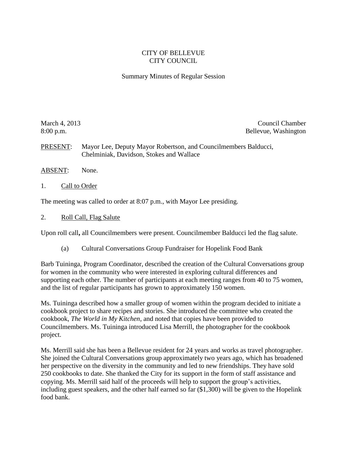## CITY OF BELLEVUE CITY COUNCIL

## Summary Minutes of Regular Session

March 4, 2013 Council Chamber 2013 8:00 p.m. Bellevue, Washington

PRESENT: Mayor Lee, Deputy Mayor Robertson, and Councilmembers Balducci, Chelminiak, Davidson, Stokes and Wallace

- ABSENT: None.
- 1. Call to Order

The meeting was called to order at 8:07 p.m., with Mayor Lee presiding.

2. Roll Call, Flag Salute

Upon roll call**,** all Councilmembers were present. Councilmember Balducci led the flag salute.

(a) Cultural Conversations Group Fundraiser for Hopelink Food Bank

Barb Tuininga, Program Coordinator, described the creation of the Cultural Conversations group for women in the community who were interested in exploring cultural differences and supporting each other. The number of participants at each meeting ranges from 40 to 75 women, and the list of regular participants has grown to approximately 150 women.

Ms. Tuininga described how a smaller group of women within the program decided to initiate a cookbook project to share recipes and stories. She introduced the committee who created the cookbook, *The World in My Kitchen*, and noted that copies have been provided to Councilmembers. Ms. Tuininga introduced Lisa Merrill, the photographer for the cookbook project.

Ms. Merrill said she has been a Bellevue resident for 24 years and works as travel photographer. She joined the Cultural Conversations group approximately two years ago, which has broadened her perspective on the diversity in the community and led to new friendships. They have sold 250 cookbooks to date. She thanked the City for its support in the form of staff assistance and copying. Ms. Merrill said half of the proceeds will help to support the group's activities, including guest speakers, and the other half earned so far (\$1,300) will be given to the Hopelink food bank.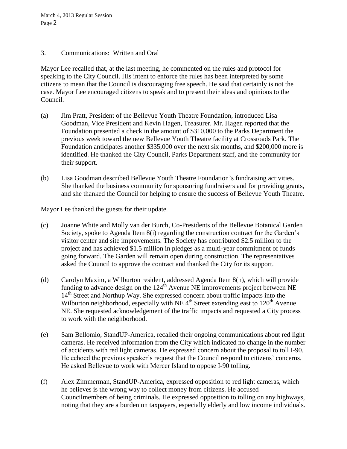March 4, 2013 Regular Session Page 2

## 3. Communications: Written and Oral

Mayor Lee recalled that, at the last meeting, he commented on the rules and protocol for speaking to the City Council. His intent to enforce the rules has been interpreted by some citizens to mean that the Council is discouraging free speech. He said that certainly is not the case. Mayor Lee encouraged citizens to speak and to present their ideas and opinions to the Council.

- (a) Jim Pratt, President of the Bellevue Youth Theatre Foundation, introduced Lisa Goodman, Vice President and Kevin Hagen, Treasurer. Mr. Hagen reported that the Foundation presented a check in the amount of \$310,000 to the Parks Department the previous week toward the new Bellevue Youth Theatre facility at Crossroads Park. The Foundation anticipates another \$335,000 over the next six months, and \$200,000 more is identified. He thanked the City Council, Parks Department staff, and the community for their support.
- (b) Lisa Goodman described Bellevue Youth Theatre Foundation's fundraising activities. She thanked the business community for sponsoring fundraisers and for providing grants, and she thanked the Council for helping to ensure the success of Bellevue Youth Theatre.

Mayor Lee thanked the guests for their update.

- (c) Joanne White and Molly van der Burch, Co-Presidents of the Bellevue Botanical Garden Society, spoke to Agenda Item 8(i) regarding the construction contract for the Garden's visitor center and site improvements. The Society has contributed \$2.5 million to the project and has achieved \$1.5 million in pledges as a multi-year commitment of funds going forward. The Garden will remain open during construction. The representatives asked the Council to approve the contract and thanked the City for its support.
- (d) Carolyn Maxim, a Wilburton resident, addressed Agenda Item 8(n), which will provide funding to advance design on the  $124<sup>th</sup>$  Avenue NE improvements project between NE 14<sup>th</sup> Street and Northup Way. She expressed concern about traffic impacts into the Wilburton neighborhood, especially with NE  $4<sup>th</sup>$  Street extending east to 120<sup>th</sup> Avenue NE. She requested acknowledgement of the traffic impacts and requested a City process to work with the neighborhood.
- (e) Sam Bellomio, StandUP-America, recalled their ongoing communications about red light cameras. He received information from the City which indicated no change in the number of accidents with red light cameras. He expressed concern about the proposal to toll I-90. He echoed the previous speaker's request that the Council respond to citizens' concerns. He asked Bellevue to work with Mercer Island to oppose I-90 tolling.
- (f) Alex Zimmerman, StandUP-America, expressed opposition to red light cameras, which he believes is the wrong way to collect money from citizens. He accused Councilmembers of being criminals. He expressed opposition to tolling on any highways, noting that they are a burden on taxpayers, especially elderly and low income individuals.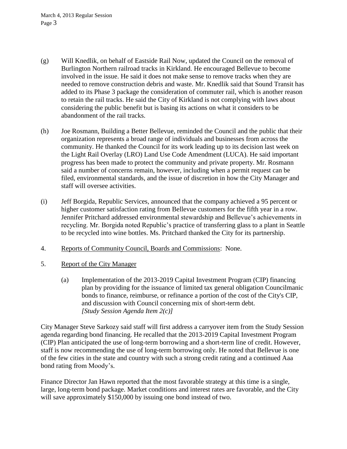- (g) Will Knedlik, on behalf of Eastside Rail Now, updated the Council on the removal of Burlington Northern railroad tracks in Kirkland. He encouraged Bellevue to become involved in the issue. He said it does not make sense to remove tracks when they are needed to remove construction debris and waste. Mr. Knedlik said that Sound Transit has added to its Phase 3 package the consideration of commuter rail, which is another reason to retain the rail tracks. He said the City of Kirkland is not complying with laws about considering the public benefit but is basing its actions on what it considers to be abandonment of the rail tracks.
- (h) Joe Rosmann, Building a Better Bellevue, reminded the Council and the public that their organization represents a broad range of individuals and businesses from across the community. He thanked the Council for its work leading up to its decision last week on the Light Rail Overlay (LRO) Land Use Code Amendment (LUCA). He said important progress has been made to protect the community and private property. Mr. Rosmann said a number of concerns remain, however, including when a permit request can be filed, environmental standards, and the issue of discretion in how the City Manager and staff will oversee activities.
- (i) Jeff Borgida, Republic Services, announced that the company achieved a 95 percent or higher customer satisfaction rating from Bellevue customers for the fifth year in a row. Jennifer Pritchard addressed environmental stewardship and Bellevue's achievements in recycling. Mr. Borgida noted Republic's practice of transferring glass to a plant in Seattle to be recycled into wine bottles. Ms. Pritchard thanked the City for its partnership.
- 4. Reports of Community Council, Boards and Commissions: None.
- 5. Report of the City Manager
	- (a) Implementation of the 2013-2019 Capital Investment Program (CIP) financing plan by providing for the issuance of limited tax general obligation Councilmanic bonds to finance, reimburse, or refinance a portion of the cost of the City's CIP, and discussion with Council concerning mix of short-term debt. *[Study Session Agenda Item 2(c)]*

City Manager Steve Sarkozy said staff will first address a carryover item from the Study Session agenda regarding bond financing. He recalled that the 2013-2019 Capital Investment Program (CIP) Plan anticipated the use of long-term borrowing and a short-term line of credit. However, staff is now recommending the use of long-term borrowing only. He noted that Bellevue is one of the few cities in the state and country with such a strong credit rating and a continued Aaa bond rating from Moody's.

Finance Director Jan Hawn reported that the most favorable strategy at this time is a single, large, long-term bond package. Market conditions and interest rates are favorable, and the City will save approximately \$150,000 by issuing one bond instead of two.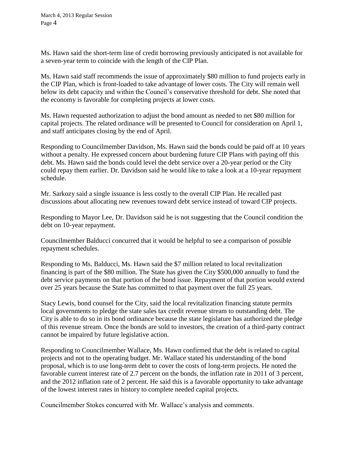March 4, 2013 Regular Session Page 4

Ms. Hawn said the short-term line of credit borrowing previously anticipated is not available for a seven-year term to coincide with the length of the CIP Plan.

Ms. Hawn said staff recommends the issue of approximately \$80 million to fund projects early in the CIP Plan, which is front-loaded to take advantage of lower costs. The City will remain well below its debt capacity and within the Council's conservative threshold for debt. She noted that the economy is favorable for completing projects at lower costs.

Ms. Hawn requested authorization to adjust the bond amount as needed to net \$80 million for capital projects. The related ordinance will be presented to Council for consideration on April 1, and staff anticipates closing by the end of April.

Responding to Councilmember Davidson, Ms. Hawn said the bonds could be paid off at 10 years without a penalty. He expressed concern about burdening future CIP Plans with paying off this debt. Ms. Hawn said the bonds could level the debt service over a 20-year period or the City could repay them earlier. Dr. Davidson said he would like to take a look at a 10-year repayment schedule.

Mr. Sarkozy said a single issuance is less costly to the overall CIP Plan. He recalled past discussions about allocating new revenues toward debt service instead of toward CIP projects.

Responding to Mayor Lee, Dr. Davidson said he is not suggesting that the Council condition the debt on 10-year repayment.

Councilmember Balducci concurred that it would be helpful to see a comparison of possible repayment schedules.

Responding to Ms. Balducci, Ms. Hawn said the \$7 million related to local revitalization financing is part of the \$80 million. The State has given the City \$500,000 annually to fund the debt service payments on that portion of the bond issue. Repayment of that portion would extend over 25 years because the State has committed to that payment over the full 25 years.

Stacy Lewis, bond counsel for the City, said the local revitalization financing statute permits local governments to pledge the state sales tax credit revenue stream to outstanding debt. The City is able to do so in its bond ordinance because the state legislature has authorized the pledge of this revenue stream. Once the bonds are sold to investors, the creation of a third-party contract cannot be impaired by future legislative action.

Responding to Councilmember Wallace, Ms. Hawn confirmed that the debt is related to capital projects and not to the operating budget. Mr. Wallace stated his understanding of the bond proposal, which is to use long-term debt to cover the costs of long-term projects. He noted the favorable current interest rate of 2.7 percent on the bonds, the inflation rate in 2011 of 3 percent, and the 2012 inflation rate of 2 percent. He said this is a favorable opportunity to take advantage of the lowest interest rates in history to complete needed capital projects.

Councilmember Stokes concurred with Mr. Wallace's analysis and comments.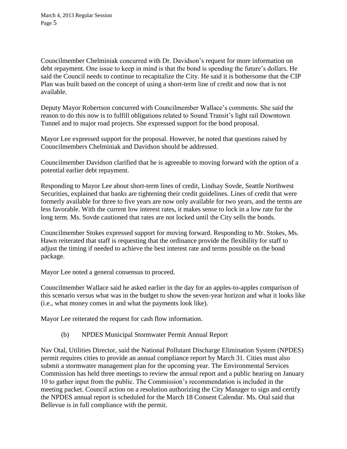Councilmember Chelminiak concurred with Dr. Davidson's request for more information on debt repayment. One issue to keep in mind is that the bond is spending the future's dollars. He said the Council needs to continue to recapitalize the City. He said it is bothersome that the CIP Plan was built based on the concept of using a short-term line of credit and now that is not available.

Deputy Mayor Robertson concurred with Councilmember Wallace's comments. She said the reason to do this now is to fulfill obligations related to Sound Transit's light rail Downtown Tunnel and to major road projects. She expressed support for the bond proposal.

Mayor Lee expressed support for the proposal. However, he noted that questions raised by Councilmembers Chelminiak and Davidson should be addressed.

Councilmember Davidson clarified that he is agreeable to moving forward with the option of a potential earlier debt repayment.

Responding to Mayor Lee about short-term lines of credit, Lindsay Sovde, Seattle Northwest Securities, explained that banks are tightening their credit guidelines. Lines of credit that were formerly available for three to five years are now only available for two years, and the terms are less favorable. With the current low interest rates, it makes sense to lock in a low rate for the long term. Ms. Sovde cautioned that rates are not locked until the City sells the bonds.

Councilmember Stokes expressed support for moving forward. Responding to Mr. Stokes, Ms. Hawn reiterated that staff is requesting that the ordinance provide the flexibility for staff to adjust the timing if needed to achieve the best interest rate and terms possible on the bond package.

Mayor Lee noted a general consensus to proceed.

Councilmember Wallace said he asked earlier in the day for an apples-to-apples comparison of this scenario versus what was in the budget to show the seven-year horizon and what it looks like (i.e., what money comes in and what the payments look like).

Mayor Lee reiterated the request for cash flow information.

(b) NPDES Municipal Stormwater Permit Annual Report

Nav Otal, Utilities Director, said the National Pollutant Discharge Elimination System (NPDES) permit requires cities to provide an annual compliance report by March 31. Cities must also submit a stormwater management plan for the upcoming year. The Environmental Services Commission has held three meetings to review the annual report and a public hearing on January 10 to gather input from the public. The Commission's recommendation is included in the meeting packet. Council action on a resolution authorizing the City Manager to sign and certify the NPDES annual report is scheduled for the March 18 Consent Calendar. Ms. Otal said that Bellevue is in full compliance with the permit.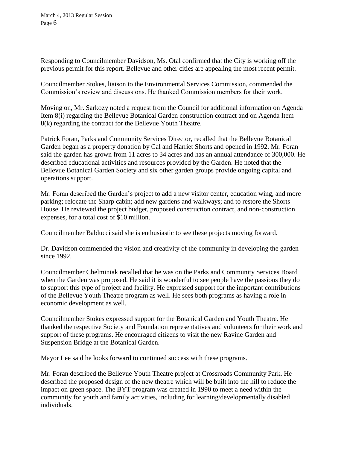March 4, 2013 Regular Session Page 6

Responding to Councilmember Davidson, Ms. Otal confirmed that the City is working off the previous permit for this report. Bellevue and other cities are appealing the most recent permit.

Councilmember Stokes, liaison to the Environmental Services Commission, commended the Commission's review and discussions. He thanked Commission members for their work.

Moving on, Mr. Sarkozy noted a request from the Council for additional information on Agenda Item 8(i) regarding the Bellevue Botanical Garden construction contract and on Agenda Item 8(k) regarding the contract for the Bellevue Youth Theatre.

Patrick Foran, Parks and Community Services Director, recalled that the Bellevue Botanical Garden began as a property donation by Cal and Harriet Shorts and opened in 1992. Mr. Foran said the garden has grown from 11 acres to 34 acres and has an annual attendance of 300,000. He described educational activities and resources provided by the Garden. He noted that the Bellevue Botanical Garden Society and six other garden groups provide ongoing capital and operations support.

Mr. Foran described the Garden's project to add a new visitor center, education wing, and more parking; relocate the Sharp cabin; add new gardens and walkways; and to restore the Shorts House. He reviewed the project budget, proposed construction contract, and non-construction expenses, for a total cost of \$10 million.

Councilmember Balducci said she is enthusiastic to see these projects moving forward.

Dr. Davidson commended the vision and creativity of the community in developing the garden since 1992.

Councilmember Chelminiak recalled that he was on the Parks and Community Services Board when the Garden was proposed. He said it is wonderful to see people have the passions they do to support this type of project and facility. He expressed support for the important contributions of the Bellevue Youth Theatre program as well. He sees both programs as having a role in economic development as well.

Councilmember Stokes expressed support for the Botanical Garden and Youth Theatre. He thanked the respective Society and Foundation representatives and volunteers for their work and support of these programs. He encouraged citizens to visit the new Ravine Garden and Suspension Bridge at the Botanical Garden.

Mayor Lee said he looks forward to continued success with these programs.

Mr. Foran described the Bellevue Youth Theatre project at Crossroads Community Park. He described the proposed design of the new theatre which will be built into the hill to reduce the impact on green space. The BYT program was created in 1990 to meet a need within the community for youth and family activities, including for learning/developmentally disabled individuals.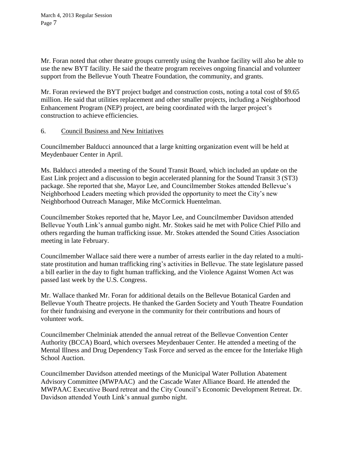Mr. Foran noted that other theatre groups currently using the Ivanhoe facility will also be able to use the new BYT facility. He said the theatre program receives ongoing financial and volunteer support from the Bellevue Youth Theatre Foundation, the community, and grants.

Mr. Foran reviewed the BYT project budget and construction costs, noting a total cost of \$9.65 million. He said that utilities replacement and other smaller projects, including a Neighborhood Enhancement Program (NEP) project, are being coordinated with the larger project's construction to achieve efficiencies.

## 6. Council Business and New Initiatives

Councilmember Balducci announced that a large knitting organization event will be held at Meydenbauer Center in April.

Ms. Balducci attended a meeting of the Sound Transit Board, which included an update on the East Link project and a discussion to begin accelerated planning for the Sound Transit 3 (ST3) package. She reported that she, Mayor Lee, and Councilmember Stokes attended Bellevue's Neighborhood Leaders meeting which provided the opportunity to meet the City's new Neighborhood Outreach Manager, Mike McCormick Huentelman.

Councilmember Stokes reported that he, Mayor Lee, and Councilmember Davidson attended Bellevue Youth Link's annual gumbo night. Mr. Stokes said he met with Police Chief Pillo and others regarding the human trafficking issue. Mr. Stokes attended the Sound Cities Association meeting in late February.

Councilmember Wallace said there were a number of arrests earlier in the day related to a multistate prostitution and human trafficking ring's activities in Bellevue. The state legislature passed a bill earlier in the day to fight human trafficking, and the Violence Against Women Act was passed last week by the U.S. Congress.

Mr. Wallace thanked Mr. Foran for additional details on the Bellevue Botanical Garden and Bellevue Youth Theatre projects. He thanked the Garden Society and Youth Theatre Foundation for their fundraising and everyone in the community for their contributions and hours of volunteer work.

Councilmember Chelminiak attended the annual retreat of the Bellevue Convention Center Authority (BCCA) Board, which oversees Meydenbauer Center. He attended a meeting of the Mental Illness and Drug Dependency Task Force and served as the emcee for the Interlake High School Auction.

Councilmember Davidson attended meetings of the Municipal Water Pollution Abatement Advisory Committee (MWPAAC) and the Cascade Water Alliance Board. He attended the MWPAAC Executive Board retreat and the City Council's Economic Development Retreat. Dr. Davidson attended Youth Link's annual gumbo night.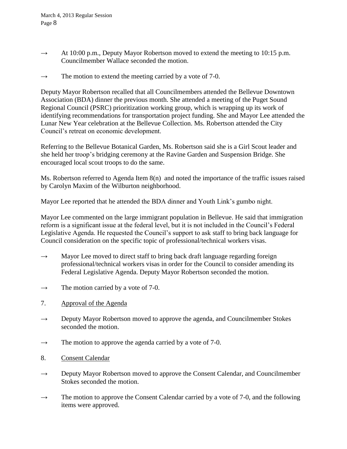- $\rightarrow$  At 10:00 p.m., Deputy Mayor Robertson moved to extend the meeting to 10:15 p.m. Councilmember Wallace seconded the motion.
- $\rightarrow$  The motion to extend the meeting carried by a vote of 7-0.

Deputy Mayor Robertson recalled that all Councilmembers attended the Bellevue Downtown Association (BDA) dinner the previous month. She attended a meeting of the Puget Sound Regional Council (PSRC) prioritization working group, which is wrapping up its work of identifying recommendations for transportation project funding. She and Mayor Lee attended the Lunar New Year celebration at the Bellevue Collection. Ms. Robertson attended the City Council's retreat on economic development.

Referring to the Bellevue Botanical Garden, Ms. Robertson said she is a Girl Scout leader and she held her troop's bridging ceremony at the Ravine Garden and Suspension Bridge. She encouraged local scout troops to do the same.

Ms. Robertson referred to Agenda Item 8(n) and noted the importance of the traffic issues raised by Carolyn Maxim of the Wilburton neighborhood.

Mayor Lee reported that he attended the BDA dinner and Youth Link's gumbo night.

Mayor Lee commented on the large immigrant population in Bellevue. He said that immigration reform is a significant issue at the federal level, but it is not included in the Council's Federal Legislative Agenda. He requested the Council's support to ask staff to bring back language for Council consideration on the specific topic of professional/technical workers visas.

- $\rightarrow$  Mayor Lee moved to direct staff to bring back draft language regarding foreign professional/technical workers visas in order for the Council to consider amending its Federal Legislative Agenda. Deputy Mayor Robertson seconded the motion.
- $\rightarrow$  The motion carried by a vote of 7-0.
- 7. Approval of the Agenda
- $\rightarrow$  Deputy Mayor Robertson moved to approve the agenda, and Councilmember Stokes seconded the motion.
- $\rightarrow$  The motion to approve the agenda carried by a vote of 7-0.
- 8. Consent Calendar
- $\rightarrow$  Deputy Mayor Robertson moved to approve the Consent Calendar, and Councilmember Stokes seconded the motion.
- $\rightarrow$  The motion to approve the Consent Calendar carried by a vote of 7-0, and the following items were approved.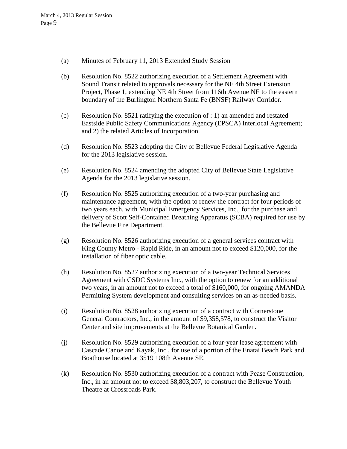- (a) Minutes of February 11, 2013 Extended Study Session
- (b) Resolution No. 8522 authorizing execution of a Settlement Agreement with Sound Transit related to approvals necessary for the NE 4th Street Extension Project, Phase 1, extending NE 4th Street from 116th Avenue NE to the eastern boundary of the Burlington Northern Santa Fe (BNSF) Railway Corridor.
- (c) Resolution No. 8521 ratifying the execution of : 1) an amended and restated Eastside Public Safety Communications Agency (EPSCA) Interlocal Agreement; and 2) the related Articles of Incorporation.
- (d) Resolution No. 8523 adopting the City of Bellevue Federal Legislative Agenda for the 2013 legislative session.
- (e) Resolution No. 8524 amending the adopted City of Bellevue State Legislative Agenda for the 2013 legislative session.
- (f) Resolution No. 8525 authorizing execution of a two-year purchasing and maintenance agreement, with the option to renew the contract for four periods of two years each, with Municipal Emergency Services, Inc., for the purchase and delivery of Scott Self-Contained Breathing Apparatus (SCBA) required for use by the Bellevue Fire Department.
- (g) Resolution No. 8526 authorizing execution of a general services contract with King County Metro - Rapid Ride, in an amount not to exceed \$120,000, for the installation of fiber optic cable.
- (h) Resolution No. 8527 authorizing execution of a two-year Technical Services Agreement with CSDC Systems Inc., with the option to renew for an additional two years, in an amount not to exceed a total of \$160,000, for ongoing AMANDA Permitting System development and consulting services on an as-needed basis.
- (i) Resolution No. 8528 authorizing execution of a contract with Cornerstone General Contractors, Inc., in the amount of \$9,358,578, to construct the Visitor Center and site improvements at the Bellevue Botanical Garden.
- (j) Resolution No. 8529 authorizing execution of a four-year lease agreement with Cascade Canoe and Kayak, Inc., for use of a portion of the Enatai Beach Park and Boathouse located at 3519 108th Avenue SE.
- (k) Resolution No. 8530 authorizing execution of a contract with Pease Construction, Inc., in an amount not to exceed \$8,803,207, to construct the Bellevue Youth Theatre at Crossroads Park.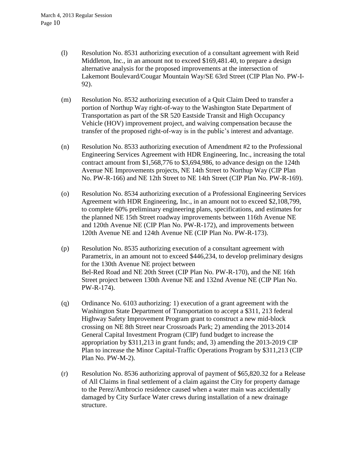- (l) Resolution No. 8531 authorizing execution of a consultant agreement with Reid Middleton, Inc., in an amount not to exceed \$169,481.40, to prepare a design alternative analysis for the proposed improvements at the intersection of Lakemont Boulevard/Cougar Mountain Way/SE 63rd Street (CIP Plan No. PW-I-92).
- (m) Resolution No. 8532 authorizing execution of a Quit Claim Deed to transfer a portion of Northup Way right-of-way to the Washington State Department of Transportation as part of the SR 520 Eastside Transit and High Occupancy Vehicle (HOV) improvement project, and waiving compensation because the transfer of the proposed right-of-way is in the public's interest and advantage.
- (n) Resolution No. 8533 authorizing execution of Amendment #2 to the Professional Engineering Services Agreement with HDR Engineering, Inc., increasing the total contract amount from \$1,568,776 to \$3,694,986, to advance design on the 124th Avenue NE Improvements projects, NE 14th Street to Northup Way (CIP Plan No. PW-R-166) and NE 12th Street to NE 14th Street (CIP Plan No. PW-R-169).
- (o) Resolution No. 8534 authorizing execution of a Professional Engineering Services Agreement with HDR Engineering, Inc., in an amount not to exceed \$2,108,799, to complete 60% preliminary engineering plans, specifications, and estimates for the planned NE 15th Street roadway improvements between 116th Avenue NE and 120th Avenue NE (CIP Plan No. PW-R-172), and improvements between 120th Avenue NE and 124th Avenue NE (CIP Plan No. PW-R-173).
- (p) Resolution No. 8535 authorizing execution of a consultant agreement with Parametrix, in an amount not to exceed \$446,234, to develop preliminary designs for the 130th Avenue NE project between Bel-Red Road and NE 20th Street (CIP Plan No. PW-R-170), and the NE 16th Street project between 130th Avenue NE and 132nd Avenue NE (CIP Plan No. PW-R-174).
- (q) Ordinance No. 6103 authorizing: 1) execution of a grant agreement with the Washington State Department of Transportation to accept a \$311, 213 federal Highway Safety Improvement Program grant to construct a new mid-block crossing on NE 8th Street near Crossroads Park; 2) amending the 2013-2014 General Capital Investment Program (CIP) fund budget to increase the appropriation by \$311,213 in grant funds; and, 3) amending the 2013-2019 CIP Plan to increase the Minor Capital-Traffic Operations Program by \$311,213 (CIP Plan No. PW-M-2).
- (r) Resolution No. 8536 authorizing approval of payment of \$65,820.32 for a Release of All Claims in final settlement of a claim against the City for property damage to the Perez/Ambrocio residence caused when a water main was accidentally damaged by City Surface Water crews during installation of a new drainage structure.